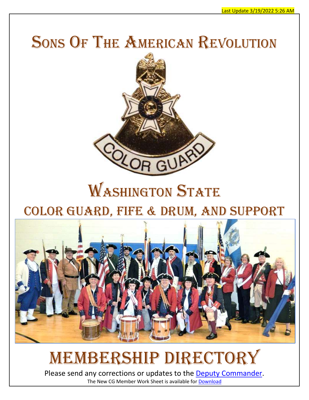SONS OF THE AMERICAN REVOLUTION



# **WASHINGTON STATE** Color Guard, Fife & Drum, and Support



# MEMBERSHIP DIRECTORY

Please send any corrections or updates to the [Deputy Commander.](mailto:DM-SAR@comcast.net) The New CG Member Work Sheet is available for [Download](https://cg.wasar-ah.org/New_CG_Member_Work_Sheet.xlsx)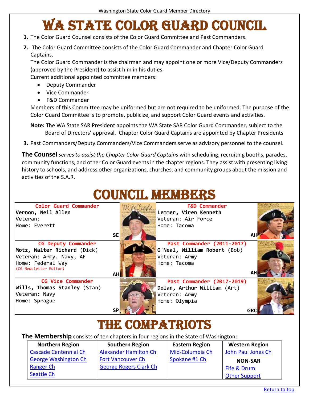## WA STATE COLOR GUARD COUNCIL

- **1.** The Color Guard Counsel consists of the Color Guard Committee and Past Commanders.
- **2.** The Color Guard Committee consists of the Color Guard Commander and Chapter Color Guard Captains.

The Color Guard Commander is the chairman and may appoint one or more Vice/Deputy Commanders (approved by the President) to assist him in his duties.

Current additional appointed committee members:

- Deputy Commander
- Vice Commander
- F&D Commander

Members of this Committee may be uniformed but are not required to be uniformed. The purpose of the Color Guard Committee is to promote, publicize, and support Color Guard events and activities.

**Note:** The WA State SAR President appoints the WA State SAR Color Guard Commander, subject to the Board of Directors' approval. Chapter Color Guard Captains are appointed by Chapter Presidents

**3.** Past Commanders/Deputy Commanders/Vice Commanders serve as advisory personnel to the counsel.

**The Counsel** *serves to assist the Chapter Color Guard Captains* with scheduling, recruiting booths, parades, community functions, and other Color Guard events in the chapter regions. They assist with presenting living history to schools, and address other organizations, churches, and community groups about the mission and activities of the S.A.R.

<span id="page-1-0"></span>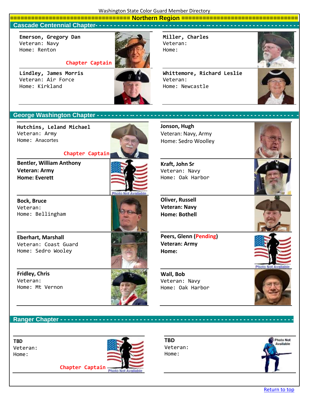#### <span id="page-2-0"></span>**================================== Northern Region ================================= Cascade Centennial Chapter- - - - - - - - - - - - - - - - - - - - - - - - - - - - - - -- - - - - - - - - - - - - - - - - - - - - - - - -**

**Emerson, Gregory Dan**  Veteran: Navy Home: Renton

**Lindley, James Morris**  Veteran: Air Force Home: Kirkland



**Miller, Charles** Veteran: Home:

**Whittemore, Richard Leslie**  Veteran: Home: Newcastle



<span id="page-2-1"></span>

**Hutchins, Leland Michael**  Veteran: Army Home: Anacortes



**Bentler, William Anthony Veteran: Army Home: Everett**



**Bock, Bruce**  Veteran: Home: Bellingham

**Eberhart, Marshall**  Veteran: Coast Guard Home: Sedro Wooley

**Fridley, Chris** Veteran: Home: Mt Vernon





**Jonson, Hugh**  Veteran: Navy, Army Home: Sedro Woolley

**Kraft, John Sr** Veteran: Navy Home: Oak Harbor

**Oliver, Russell Veteran: Navy Home: Bothell**

**Peers, Glenn (Pending) Veteran: Army Home:** 

**Wall, Bob** Veteran: Navy Home: Oak Harbor









Photo Not Avai



<span id="page-2-2"></span> **Ranger Chapter - - - - - - - - - -- - - - - - - - - - - - - - - - - - - - - - - - - - - - - - - - - - - - - - - - - - - - - - - - - - - - - -**

**TBD** Veteran: Home:



**TBD**  Veteran: Home:

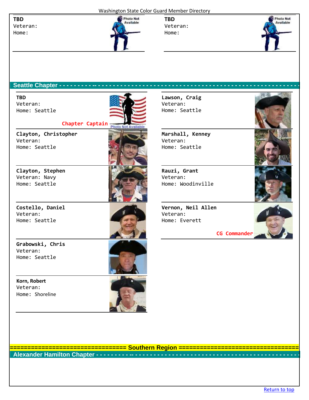#### Washington State Color Guard Member Directory

**TBD**  Veteran: Home:



**TBD**  Veteran: Home:



#### <span id="page-3-0"></span> **Seattle Chapter - - - - - - - - - -- - - - - - - - - - - - - - - - - - - - - - - - - - - - - - - - - - - - - - - - - - - - - - - - - - - - - - - -**

**TBD** Veteran: Home: Seattle

**Chapter Captain**

**Clayton, Christopher**  Veteran: Home: Seattle

**Clayton, Stephen**  Veteran: Navy Home: Seattle

**Costello, Daniel**  Veteran: Home: Seattle



**Grabowski, Chris**  Veteran: Home: Seattle

**Korn, Robert**  Veteran: Home: Shoreline



**Lawson, Craig**  Veteran: Home: Seattle

**Marshall, Kenney** Veteran: Home: Seattle

**Rauzi, Grant** Veteran: Home: Woodinville

**Vernon, Neil Allen**  Veteran: Home: Everett

**================================= Southern Region ==================================**

<span id="page-3-1"></span> **Alexander Hamilton Chapter - - - - - - - - - -- - - - - - - - - - - - - - - - - - - - - - - - - - - - - - - - - - - - - - - - - - - - - -**





**CG Commander**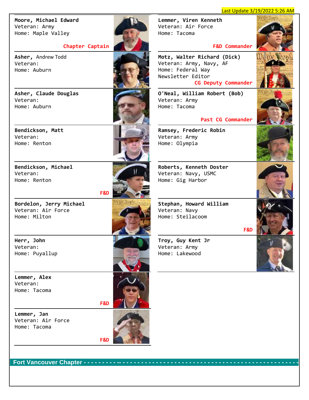#### Last Update 3/19/2022 5:26 AM

**Moore, Michael Edward**  Veteran: Army Home: Maple Valley



**Chapter Captain**

**Asher,** Andrew Todd Veteran: Home: Auburn

**Asher, Claude Douglas**  Veteran: Home: Auburn

**Bendickson, Matt** Veteran: Home: Renton





**Bendickson, Michael**  Veteran: Home: Renton



**Bordelon, Jerry Michael** Veteran: Air Force Home: Milton

**Herr, John**  Veteran: Home: Puyallup

**Lemmer, Alex**  Veteran: Home: Tacoma



**Lemmer, Jan**  Veteran: Air Force Home: Tacoma



**Lemmer, Viren Kenneth**  Veteran: Air Force Home: Tacoma

**F&D Commander**

**Motz, Walter Richard (Dick)** Veteran: Army, Navy, AF Home: Federal Way Newsletter Editor **CG Deputy Commander**

**O'Neal, William Robert (Bob)** Veteran: Army Home: Tacoma



**Ramsey, Frederic Robin**  Veteran: Army Home: Olympia

**Roberts, Kenneth Doster**  Veteran: Navy, USMC Home: Gig Harbor

**Stephan, Howard William**  Veteran: Navy Home: Steilacoom

**F&D**

**Troy, Guy Kent Jr** Veteran: Army Home: Lakewood

| V |  |
|---|--|
|   |  |

<span id="page-4-0"></span> **Fort Vancouver Chapter - - - - - - - - - -- - - - - - - - - - - - - - - - - - - - - - - - - - - - - - - - - - - - - - - - - - - - - - - - -**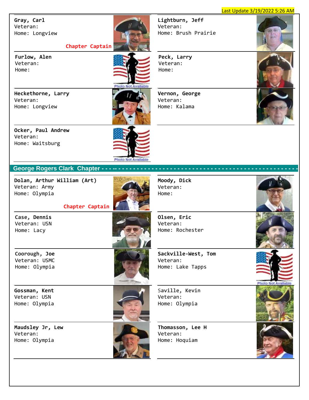Last Update 3/19/2022 5:26 AM

**Gray, Carl** Veteran: Home: Longview



**Furlow, Alen** Veteran: Home:



**Heckethorne, Larry** Veteran: Home: Longview

**Ocker, Paul Andrew** Veteran: Home: Waitsburg

**Dolan, Arthur William (Art)**



**Peck, Larry** Veteran: Home:

**Lightburn, Jeff**

Home: Brush Prairie

Veteran:

**Vernon, George** Veteran: Home: Kalama



**Olsen, Eric**  Veteran:

**Chapter Captain**

**Case, Dennis** Veteran: USN Home: Lacy

Veteran: Army Home: Olympia



WУ.

Home: Rochester

**Coorough, Joe**  Veteran: USMC Home: Olympia



**Sackville-West, Tom** Veteran: Home: Lake Tapps



**Gossman, Kent** Veteran: USN Home: Olympia

**Maudsley Jr, Lew** Veteran: Home: Olympia



**Thomasson, Lee H**  Veteran: Home: Hoquiam

S**aville, Kevin**

Home: Olympia

Veteran:





<span id="page-5-0"></span>



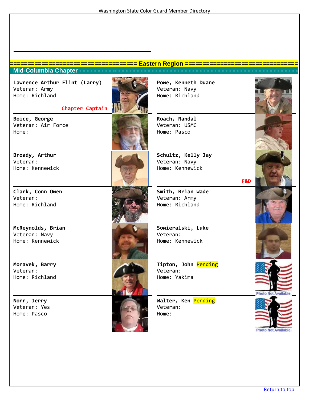<span id="page-6-0"></span>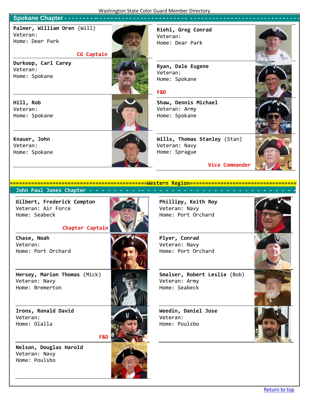#### <span id="page-7-0"></span> **Spokane Chapter - - - - - - - - -- - - - - - - - - - - - - - - - - - - - - - - - - - - - - - - - - - - - - - - - - - - - - - - - - - - - - - -**

**Palmer, William Oren** (Will) Veteran: Home: Deer Park

#### **CG Captain**

**Durkoop, Carl Carey**  Veteran: Home: Spokane

**Hill, Rob** Veteran: Home: Spokane

**Knauer, John** Veteran: Home: Spokane



**Riehl, Greg Conrad**  Veteran: Home: Dear Park

**Ryan, Dale Eugene**  Veteran: Home: Spokane

#### **F&D**

**Shaw, Dennis Michael**  Veteran: Army Home: Spokane

**Wills, Thomas Stanley** (Stan) Veteran: Navy Home: Sprague





**Vice Commander**

#### <span id="page-7-1"></span>**=============================================Western Region=================================== John Paul Jones Chapter - - - - - - - - -- - - - - - - - - - - - - - - - - - - - - - - - - -**

**Gilbert, Frederick Compton**  Veteran: Air Force Home: Seabeck

#### **Chapter Captain**

**Chase, Noah**  Veteran: Home: Port Orchard

**Hersey, Marion Thomas** (Mick) Veteran: Navy Home: Bremerton

**Irons, Ronald David**  Veteran: Home: Olalla

**Nelson, Douglas Harold**  Veteran: Navy Home: Poulsbo







**F&D**

**Phillipy, Keith Roy**  Veteran: Navy Home: Port Orchard

**Plyer, Conrad**  Veteran: Navy Home: Port Orchard

**Smalser, Robert Leslie** (Bob) Veteran: Army Home: Seabeck

**Weedin, Daniel Jose**  Veteran: Home: Poulsbo





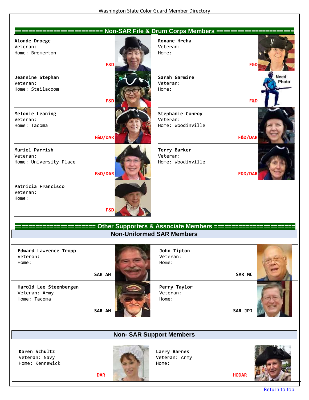<span id="page-8-0"></span>

### <span id="page-8-1"></span>**======================= Other Supporters & Associate Members ======================= Non-Uniformed SAR Members**

| Edward Lawrence Tropp<br>Veteran:<br>Home:              | SAR AH | John Tipton<br>Veteran:<br>Home:  | SAR MC  |
|---------------------------------------------------------|--------|-----------------------------------|---------|
| Harold Lee Steenbergen<br>Veteran: Army<br>Home: Tacoma | SAR-AH | Perry Taylor<br>Veteran:<br>Home: | SAR JPJ |

### **Non- SAR Support Members**

**Karen Schultz** Veteran: Navy Home: Kennewick



**DAR**

**Larry Barnes** Veteran: Army Home:



**HODAR**

[Return to top](#page-1-0)